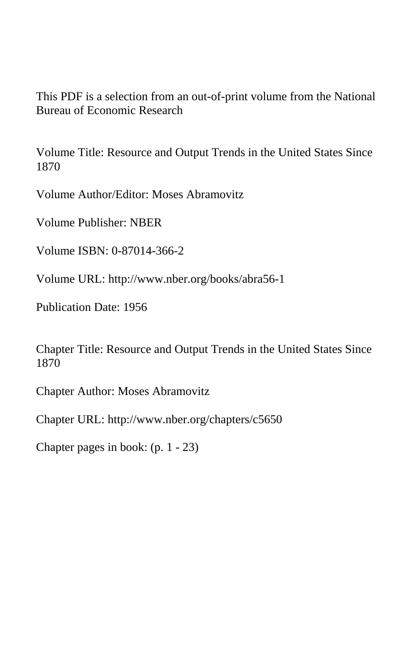This PDF is a selection from an out-of-print volume from the National Bureau of Economic Research

Volume Title: Resource and Output Trends in the United States Since 1870

Volume Author/Editor: Moses Abramovitz

Volume Publisher: NBER

Volume ISBN: 0-87014-366-2

Volume URL: http://www.nber.org/books/abra56-1

Publication Date: 1956

Chapter Title: Resource and Output Trends in the United States Since 1870

Chapter Author: Moses Abramovitz

Chapter URL: http://www.nber.org/chapters/c5650

Chapter pages in book: (p. 1 - 23)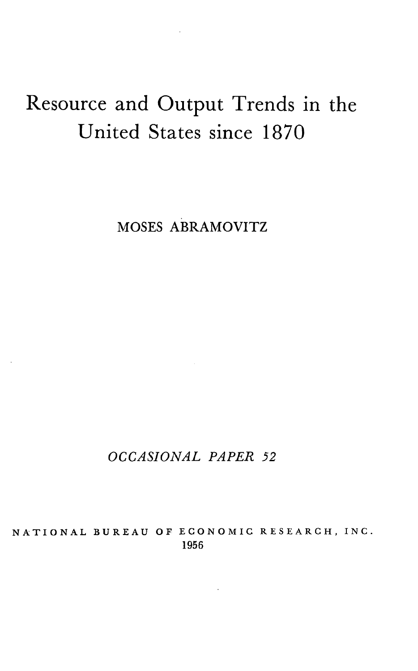# Resource and Output Trends in the United States since 1870

MOSES ABRAMOVITZ

OCCASIONAL PAPER 52

NATIONAL BUREAU OF ECONOMIC RESEARCH, INC. 1956

 $\langle \rangle$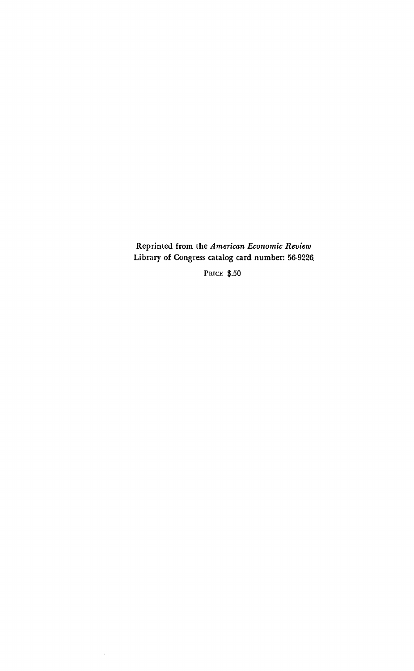Reprinted from the American Economic Review Library of Congress catalog card number: 56-9226.

PRICE \$.50

 $\bar{z}$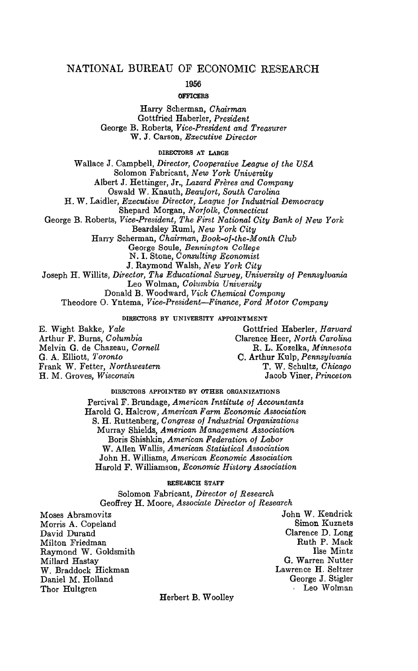# NATIONAL BUREAU OF ECONOMIC RESEARCH

#### 1956

**OFFICERS** 

Harry Scherman, Chairman Gottfried Haberler, President George B. Roberts, Vice-President and Treasurer W. J. Carson, Executive Director

DIRECTORS AT LARGE

Wallace J. Campbell, Director, Cooperative League of the USA Solomon Fabricant, New York University Albert J. Hettinger, Jr., Lazard Frères and Company Oswald W. Knauth, Beaufort, South Carolina H. W. Laidler, Executive Director, League for Industrial Democracy Shepard Morgan, Norfolk, Connecticut George B. Roberts, Vice-President, The First National City Bank of New York Beardsley Rumi, New York City Harry Scherman, Chairman, Book-of-the-Month Club George Soule, Bennington College N. I. Stone, Consulting Economist J. Raymond Walsh, New York City Joseph H. Willits, Director, The Educational Survey, University of Pennsylvania Leo Wolman, Columbia University Donald B. Woodward, Vick Chemical Company Theodore O. Yntema, Vice-President--Finance, Ford Motor Company

DIRECTORS BY UNIVERSITY APPOINTMENT

E. Wight Bakke, Yale Arthur F. Burns, Columbia Melvin G. de Chazeau, Cornell G. A. Elliott, Toronto Frank W. Fetter, Northwestern H. M. Groves, Wisconsin

Gottfried Haberler, Harvard Clarence fleer, North Carolina R. L. Kozelka, Minnesota C. Arthur Kuip, Pennsylvania T. W. Schultz, Chicago Jacob Viner, Princeton

DIRECTORS APPOINTED BY OTHER ORGANIZATIONS

Percival F. Brundage, American Institute of Accountants Harold G. Haicrow, American Farm Economic Association S. H. Ruttenberg, Congress of Industrial Organizations Murray Shields, American Management Association Boris Shishkin, American Federation of Labor W. Allen Wallis, American Statistical Association John H. Williams, American Economic Association Harold F. Williamson, Economic History Association

#### RESEARCH STAFF

Solomon Fabricant, Director of Research Geoffrey H. Moore, Associate Director of Research

Moses Abramovitz Morris A. Copeland David Durand Milton Friedman Raymond W. Goldsmith Millard Hastay W. Braddock Hickman Daniel M. Holland<br>Thor Hultgren

John W. Kendrick Simon Kuznets Clarence D. Long Ruth P. Mack Ilse Mintz G. Warren Nutter Lawrence H. Seltzer George J. Stigler Leo Wolman

Herbert B. Woolley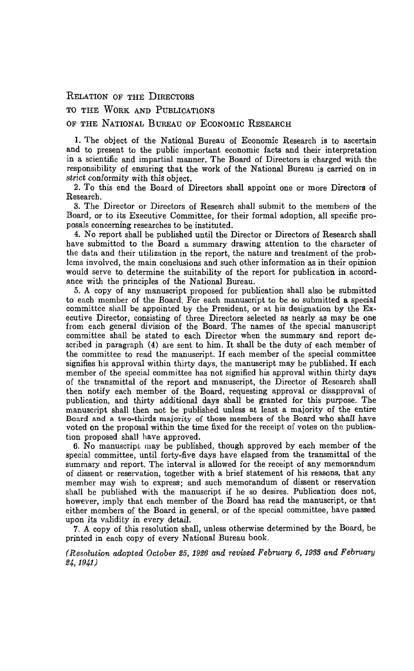#### RELATION OF THE DIRECTORS

#### TO THE WORK AND PUBLICATiONS

#### OF THE NATIONAL BUREAU OF ECONOMIC RESEARCH

1. The object of the National Bureau of Economic Research is to ascertain and to present to the public important economic facts and their interpretation in a scientific and impartial manner. The Board of Directors is charged with the responsibility of ensuring that the work of the National Bureau is carried on in strict conformity with this object.

2. To this end the Board of Directors shall appoint one or more Directors of Research.

3. The Director or Directors of Research shall submit to the members of the Board, or to its Executive Committee, for their formal adoption, all specific proposals concerning researches to be instituted.

4. No report shall be published until the Director or Directors of Research shall have submitted to the Board a summary drawing attention to the character of the data and their utilization in the report, the nature and treatment of the problems involved, the main conclusions and such other information as in their opinion would serve to determine the suitability of the report for publication in accordance with the principles of the National Bureau.

5. A copy of any manuscript proposed for publication shall also be submitted to each member of the Board. For each manuscript to be so submitted a special committee shall be appointed by the President, or at his designation by the Executive Director, consisting of three Directors selected as nearly as may be one from each general division of the Board. The names of the special manuscript committee shall be stated to each Director when the summary and report described in paragraph (4) are sent to him. It shall be the duty of each member of the committee to read the manuscript. If each member of the special committee signifies his approval within thirty days, the manuscript may be published. If each member of the special committee has not signified his approval within thirty days of the transmittal of the report and manuscript, the Director of Research shall then notify each member of the Board, requesting approval or disapproval of publication, and thirty additional days shall be granted for this purpose. The manuscript shall then not be published unless at least a majority of the entire Board and a two-thirds majority of those members of the Board who shall have voted on the proposal within the time fixed for the receipt of votes on the publication proposed shall have approved.

6. No manuscript may be published, though approved by each member of the special committee, until forty-five days have elapsed from the transmittal of the summary and report. The interval is allowed for the receipt of any memorandum of dissent or reservation, together with a brief statement of his reasons, that any member may wish to express; and such memorandum of dissent or reservation shall be published with the manuscript if he so desires. Publication does not, however, imply that each member of the Board has read the manuscript, or that either members of the Board in general, or of the special committee, have passed upon its validity in every detail.

7. A copy of this resolution shall, unless otherwise determined by the Board, be printed in each copy of every National Bureau book.

(Resolution adopted October 25, 1926 and revised February 6, 1933 and February 24, 1941)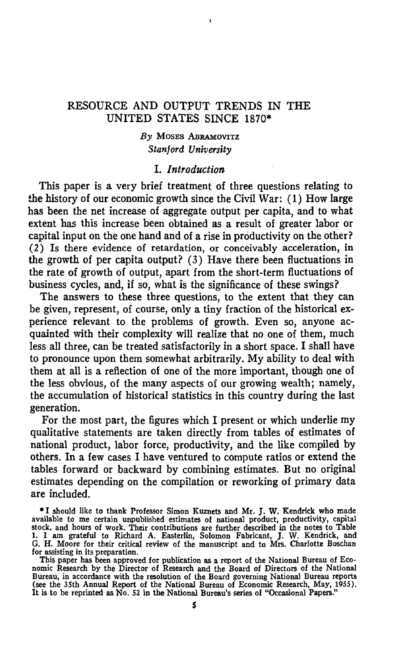# RESOURCE AND OUTPUT TRENDS IN THE UNITED STATES SINCE 1870\*

## By MOSES ABRAMOVITZ Stanford University

# I. Introduction

This paper is a very brief treatment of three questions relating to the history of our economic growth since the Civil War: (1) How large has been the net increase of aggregate output per capita, and to what extent has this increase been obtained as a result of greater labor or capital input on the one hand and of a rise in productivity on the other? (2) Is there evidence of retardation, or conceivably acceleration, in the growth of per capita output? (3) Have there been fluctuations in the rate of growth of output, apart from the short-term fluctuations of business cycles, and, if so, what is the significance of these swings?

The answers to these three questions, to the extent that they can be given, represent, of course, only a tiny fraction of the historical experience relevant to the problems of growth. Even so, anyone acquainted with their complexity will realize that no one of them, much less all three, can be treated satisfactorily in a short space. I shall have to pronounce upon them somewhat arbitrarily. My ability to deal with them at all is a reflection of one of the more important, though one of the less obvious, of the many aspects of our growing wealth; namely, the accumulation of historical statistics in this country during the last generation.

For the most part, the figures which I present or which underlie my qualitative statements are taken directly from tables of estimates of national product, labor force, productivity, and the like compiled by others. In a few cases I have ventured to compute ratios or extend the tables forward or backward by combining estimates. But no original estimates depending on the compilation or reworking of primary data are included.

<sup>\*</sup> should like to thank Professor Simon Kuznets and Mr. J. W. Kendrick who made available to me certain unpublished estimates of national product, productivity, capita) stock, and hours of work. Their contributions are further described in the notes to Table<br>1. I am grateful to Richard A. Easterlin, Solomon Fabricant, J. W. Kendrick, and<br>G. H. Moore for their critical review of the manusc

for assisting in its preparation.<br>This paper has been approved for publication as a report of the National Bureau of Eco-<br>nomic Research by the Director of Research and the Board of Directors of the National<br>Bureau, in acc (see the 35th Annual Report of the National Bureau of Economic Research, May, 1955). It is to be reprinted as No. 32 in the National Bureau's series of "Occasional Papers."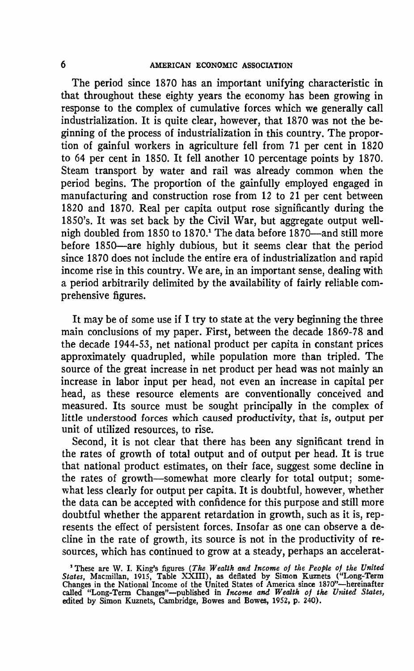The period since 1870 has an important unifying characteristic in that throughout these eighty years the economy has been growing in response to the complex of cumulative forces which we generally call industrialization. It is quite clear, however, that 1870 was not the beginning of the process of industrialization in this country. The proportion of gainful workers in agriculture fell from 71 per cent in 1820 to 64 per cent in 1850. It fell another 10 percentage points by 1870. Steam transport by water and rail was already common when the period begins. The proportion of the gainfully employed engaged in manufacturing and construction rose from 12 to 21 per cent between 1820 and 1870. Real per capita output rose significantly during the 1850's. It was set back by the Civil War, but aggregate output wellnigh doubled from 1850 to 1870.' The data before 1870—and still more before 1850—are highly dubious, but it seems clear that the period since 1870 does not include the entire era of industrialization and rapid income rise in this country. We are, in an important sense, dealing with a period arbitrarily delimited by the availability of fairly reliable comprehensive figures.

It may be of some use if I try to state at the very beginning the three main conclusions of my paper. First, between the decade 1869-78 and the decade 1944-53, net national product per capita in constant prices approximately quadrupled, while population more than tripled. The source of the great increase in net product per head was not mainly an increase in labor input per head, not even an increase in capital per head, as these resource elements are conventionally conceived and measured. Its source must be sought principally in the complex of little understood forces which caused productivity, that is, output per unit of utilized resources, to rise.

Second, it is not clear that there has been any significant trend in the rates of growth of total output and of output per head. It is true that national product estimates, on their face, suggest some decline in the rates of growth—somewhat more clearly for total output; somewhat less clearly for output per capita. It is doubtful, however, whether the data can be accepted with confidence for this purpose and still more doubtful whether the apparent retardation in growth, such as it is, represents the effect of persistent forces. Insofar as one can observe a decline in the rate of growth, its source is not in the productivity of resources, which has continued to grow at a steady, perhaps an accelerat-

<sup>&</sup>lt;sup>1</sup> These are W. I. King's figures (*The Wealth and Income of the People of the United States*, Macmillan, 1915, Table XXIII), as deflated by Simon Kuznets ("Long-Term Changes in the National Income of the United States of America since 1870"—hereinafter called "Long-Term Changes"—published in *Income and Wealth of the United States*, edited by Simon Kuznets, Cambridge, Bowes and Bowes, 1952, p. 240).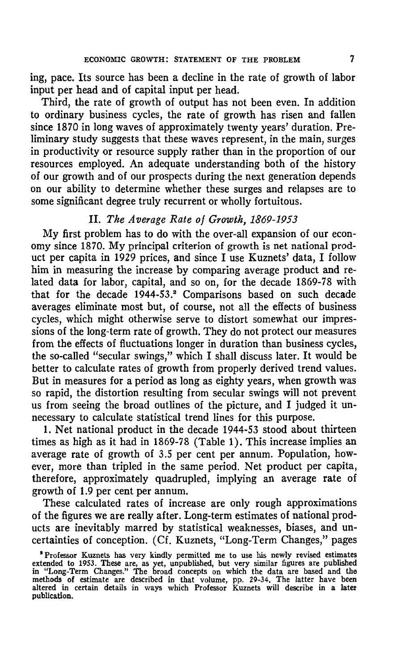ing, pace. Its source has been a decline in the rate of growth of labor input per head and of capital input per head.

Third, the rate of growth of output has not been even. In addition to ordinary business cycles, the rate of growth has risen and fallen since 1870 in long waves of approximately twenty years' duration. Preliminary study suggests that these waves represent, in the main, surges in productivity or resource supply rather than in the proportion of our resources employed. An adequate understanding both of the history of our growth and of our prospects during the next generation depends on our ability to determine whether these surges and relapses are to some significant degree truly recurrent or wholly fortuitous.

## II. The Average Rate of Growth, 1869-1953

My first problem has to do with the over-all expansion of our economy since 1870. My principal criterion of growth is net national product per capita in 1929 prices, and since I use Kuznets' data, I follow him in measuring the increase by comparing average product and related data for labor, capital, and so on, for the decade 1869-78 with that for the decade  $1944-53.^2$  Comparisons based on such decade averages eliminate most but, of course, not all the effects of business cycles, which might otherwise serve to distort somewhat our impressions of the long-term rate of growth. They do not protect our measures from the effects of fluctuations longer in duration than business cycles, the so-called "secular swings," which I shall discuss later. It would be better to calculate rates of growth from properly derived trend values. But in measures for a period as long as eighty years, when growth was so rapid, the distortion resulting from secular swings will not prevent us from seeing the broad outlines of the picture, and I judged it unnecessary to calculate statistical trend lines for this purpose.

1. Net national product in the decade 1944-53 stood about thirteen times as high as it had in 1869-78 (Table 1). This increase implies an average rate of growth of 3.5 per cent per annum. Population, however, more than tripled in the same period. Net product per capita, therefore, approximately quadrupled, implying an average rate of growth of 1.9 per cent per annum.

These calculated rates of increase are only rough approximations of the figures we are really after. Long-term estimates of national products are inevitably marred by statistical weaknesses, biases, and uncertainties of conception. (Cf. Kuznets, "Long-Term Changes," pages

<sup>&#</sup>x27;Professor Kuznets has very kindly permitted me to use his newly revised estimates extended to 1953. These are, as yet, unpublished, but very similar figures are published in "Long-Term Changes." The broad concepts on which the data are based and the methods of estimate are described in that volume, pp. 29-34. The latter have been altered in certain details in ways which Professor Kuznets will describe in a later publication.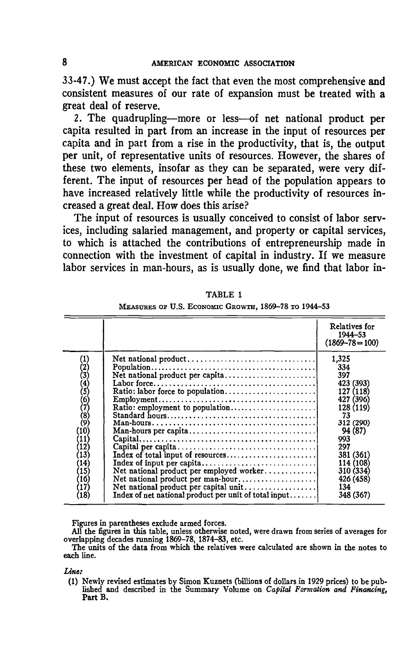33-47.) We must accept the fact that even the most comprehensive and consistent measures of our rate of expansion must be treated with a great deal of reserve.

2. The quadrupling—more or less—of net national product per capita resulted in part from an increase in the input of resources per capita and in part from a rise in the productivity, that is, the output per unit, of representative units of resources. However, the shares of these two elements, insofar as they can be separated, were very diiferent. The input of resources per head of the population appears to have increased relatively little while the productivity of resources increased a great deal. How does this arise?

The input of resources is usually conceived to consist of labor services, including salaried management, and property or capital services, to which is attached the contributions of entrepreneurship made in connection with the investment of capital in industry. If we measure labor services in man-hours, as is usually done, we find that labor in-

|                                                |                                                       | Relatives for<br>1944-53<br>$(1869 - 78 = 100)$ |
|------------------------------------------------|-------------------------------------------------------|-------------------------------------------------|
|                                                |                                                       | 1,325                                           |
| (1)<br>(2)<br>(3) (4)<br>(5) (6)<br>(7)<br>(8) |                                                       | 334                                             |
|                                                |                                                       | 397                                             |
|                                                |                                                       | 423 (393)                                       |
|                                                |                                                       | 127 (118)                                       |
|                                                |                                                       | 427 (396)                                       |
|                                                |                                                       | 128 (119)                                       |
|                                                |                                                       | 73                                              |
|                                                |                                                       | 312 (290)                                       |
| (10)                                           |                                                       | 94 (87)                                         |
|                                                |                                                       | 993                                             |
| (11)<br>(12)                                   |                                                       | 297                                             |
| (13)                                           |                                                       | 381 (361)                                       |
| (14)                                           |                                                       | 114 (108)                                       |
| (15)                                           | Net national product per employed worker              | 310 (334)                                       |
| (16)                                           |                                                       | 426 (458)                                       |
| (17)                                           | Net national product per capital unit                 | 134                                             |
| '18)                                           | Index of net national product per unit of total input | 348 (367)                                       |

TABLE 1 MEASURES OP U.S. EcoNoMIc GROWTH, 1869—78 TO 1944—53

Figures in parentheses exclude armed forces.

All the figures in this table, unless otherwise noted, were drawn overlapping decades running 1869—78, 1874—83, etc. from series of averages for

The units of the data from which the relatives were calculated are shown in the notes to each line.

Line:

(1) Newly revised estimates by Simon Kuznets (billions of dollars in 1929 prices) to be published and described in the Summary Volume on Capital Formation and Financing, Part B.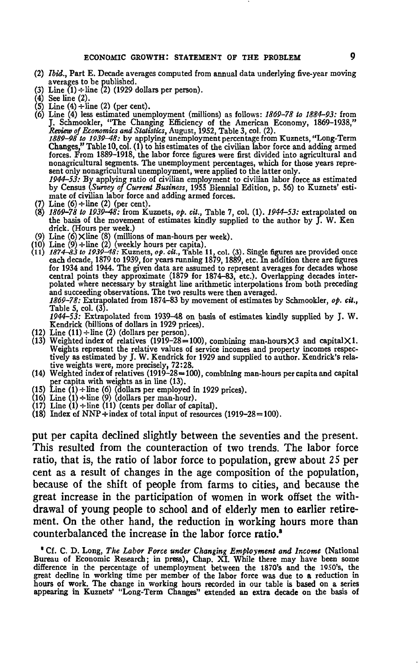- (2)  $Ibid., Part E. Decade averages computed from annual data underlying five-year moving$ averages to be published.
- (3) Line (1)  $\div$  line (2) (1929 dollars per person).
- 
- 
- (4) See line (2).<br>(5) Line (4) ÷line (2) (per cent).<br>(6) Line (4) less estimated unemployment (millions) as follows: 1869–78 to 1884–93: from<br>J. Schmookler, "The Changing Efficiency of the American Economy, 1869–1938," Line (y) itself the Changing Efficiency of the American Economy, 1869–1938,<br>Review of Economics and Statistics, August, 1952, Table 3, col. (2). 1889—98 to 1939—48: by applying unemployment percentage from Kuznets, "Long-Term Changes," Table 10, col. (1) to his estimates of the civilian labor force and adding armed forces. From 1889—1918, the labor force figures were first divided into agricultural and nonagricultural segments. The unemployment percentages, which for those years represent only nonagricultural unemployment, were applied to the latter only. 1944—53: By applying ratio of civilian employment to civilian labor force as estimated by Census (Survey of Current Business, 1955 Biennial Edition, p. 56) to Kuzuets' estimate of civilian labor force and adding armed forces.
- 
- (7) Line (6)÷line (2) (per cent).<br>(8) *1869–78 to 1939–48*: from Kuznets, *op. cit.*, Table 7, col. (1). *1944–53:* extrapolated on the basis of the movement of estimates kindly supplied to the author by J. W. Ken drick. (Hours per week.)
- 
- 
- (9) Line (6)×line (8) (millions of man-hours per week).<br>(10) Line (9)÷line (2) (weekly hours per capita).<br>(11) *1874–83 to 1939–48:* Kuznets, *op. cit.*, Table 11, col. (3). Single figures are provided once each decade, 1879 to 1939, for years running 1889, etc. In addition there are figures for 1934 and 1944. The given data are assumed to represent averages for decades whose<br>central points they approximate (1879 for 1874–83, etc.). Overlapping decades inter-<br>polated where necessary by straight line arithmetic and succeeding observations. The two results were then averaged. 1869–78: Extrapolated from 1874–83 by movement of estimates by Schmookler, *op. cit.*,<br>Table 5, col. (3).

1944—53: Extrapolated from 1939—48 on basis of estimates kindly supplied by 3. W. Kendrick (billions of dollars in 1929 prices).

- (12) Line (11)  $\div$  line (2) (dollars per person).
- (13) Weighted index of relatives (1919-28=100), combining man-hours $\times$ 3 and capital $\times$ 1. Weights represent the relative values of service incomes and property incomes respec-tively as estimated by J. W. Kendrick for 1929 and supplied to author. Kendrick's relative weights were, more precisely, 72:28.
- (14) Weighted index of relatives (1919–28 = 100), combining man-hours per capita and capital per capita with weights as in line (13).
- (15) Line  $(1) \div$ line  $(6)$  (dollars per employed in 1929 prices).
- (16) Line (1)÷line (9) (dollars per man-hour). (17) Line (1)÷line (11) (cents per dollar of capital).
- (18) Index of NNP $\div$ index of total input of resources (1919–28=100).

put per capita declined slightly between the seventies and the present. This resulted from the counteraction of two trends. The labor force ratio, that is, the ratio of labor force to population, grew about 25 per cent as a result of changes in the age composition of the population, because of the shift of people from farms to cities, and because the great increase in the participation of women in work offset the withdrawal of young people to school and of elderly men to earlier retirement. On the other band, the reduction in working hours more than counterbalanced the increase in the labor force ratio.<sup>8</sup>

<sup>&</sup>lt;sup>8</sup> Cf. C. D. Long, *The Labor Force under Changing Employment and Income* (National Bureau of Economic Research; in press), Chap. XI. While there may have been some difference in the percentage of unemployment between the hours of work. The change in working hours recorded in our table is based on a series appearing in Kuznets' "Long-Term Changes" extended an extra decade on the basis of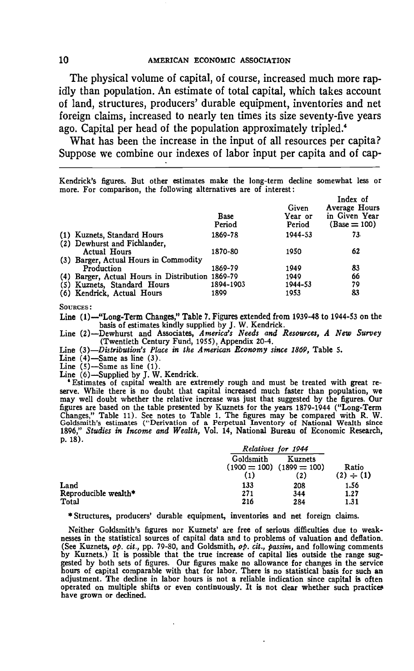The physical volume of capital, of course, increased much more rapidly than population. An estimate of total capital, which takes account of land, structures, producers' durable equipment, inventories and net foreign claims, increased to nearly ten times its size seventy-five years ago. Capital per head of the population approximately tripled.<sup>4</sup>

What has been the increase in the input of all resources per capita? Suppose we combine our indexes of labor input per capita and of cap-

Kendrick's figures. But other estimates make the long-term decline somewhat less or more. For comparison, the following alternatives are of interest:

|                                                  | <b>Base</b><br>Period | Given<br>Year or<br>Period | Index of<br>Average Hours<br>in Given Year<br>$(Base = 100)$ |  |
|--------------------------------------------------|-----------------------|----------------------------|--------------------------------------------------------------|--|
| (1) Kuznets, Standard Hours                      | 1869-78               | 1944-53                    | 73                                                           |  |
| (2) Dewhurst and Fichlander,                     |                       |                            |                                                              |  |
| Actual Hours                                     | 1870-80               | 1950                       | 62                                                           |  |
| (3) Barger, Actual Hours in Commodity            |                       |                            |                                                              |  |
| Production                                       | 1869-79               | 1949                       | 83                                                           |  |
| (4) Barger, Actual Hours in Distribution 1869-79 |                       | 1949                       | 66                                                           |  |
| (5) Kuznets, Standard Hours                      | 1894-1903             | 1944-53                    | 79                                                           |  |
| (6) Kendrick, Actual Hours                       | 1899                  | 1953                       | 83                                                           |  |

SOURCES:

Line (1)—'4Long-Term Changes," Table 7. Figures extended from 1939-48 to 1944-53 on the basis of estimates kindly supplied by J. W. Kendrick.

Line (2)—Dewhurst and Associates, *America's Needs and Resources, A New Survey*<br>(Twentieth Century Fund, 1955), Appendix 20-4.

Line (3)—Distribution's Place in the American Economy since 1869, Table 5.

Line  $(4)$ —Same as line  $(3)$ .

Line  $(5)$ —Same as line  $(1)$ .

Line (6)—Supplied by J. W. Kendrick.<br> **Complied by J. W. Kendrick.**<br> **Complied by J. W. Kendrick.**<br> **Complied by J. W. Kendrick.** \* Estimates of capital wealth are extremely rough and must be treated with great reserve. While there is no doubt that capital increased much faster than population, we may well doubt whether the relative increase was just figures are based on the table presented by Kuznets for the years 1879-1944 ("Long-Term Changes," Table 11). See notes to Table 1. The figures may be compared with R. W. Goldsmith's estimates ("Derivation of a Perpetual In 1896," Studies in Income and Wealth, Vol. 14, National Bureau of Economic Research, p. 18).

|                      | Relatives for 1944 |                                              |                |  |
|----------------------|--------------------|----------------------------------------------|----------------|--|
|                      | Goldsmith          | Kuznets<br>$(1900 \pm 100)$ $(1899 \pm 100)$ | Ratio          |  |
|                      |                    | (2)                                          | $(2) \div (1)$ |  |
| Land                 | 133                | 208                                          | 1.56           |  |
| Reproducible wealth* | 271                | 344                                          | 1.27           |  |
| Total                | 216                | 284                                          | 1.31           |  |

\* Structures, producers' durable equipment, inventories and net foreign claims.

Neither Goldsmith's figures nor Kuznets' are free of serious difficulties due to weaknesses in the statistical sources of capital data arid to problems of valuation and deflation. (See Kuznets,  $o\rho$ . cit., pp. 79-80, and Goldsmith,  $o\rho$ . cit.,  $passim$ , and following comments by Kuznets.) It is possible that the true increase of capital lies outside the range suggested by both sets of figures. Our figures make no allowance for changes in the service hours of capital comparable with that for labor. There is no statistical basis for such an adjustment. The decline in labor hours is not a reliable indication since capital is often operated on multiple shifts or even continuously. It is not clear whether such practices have grown or declined.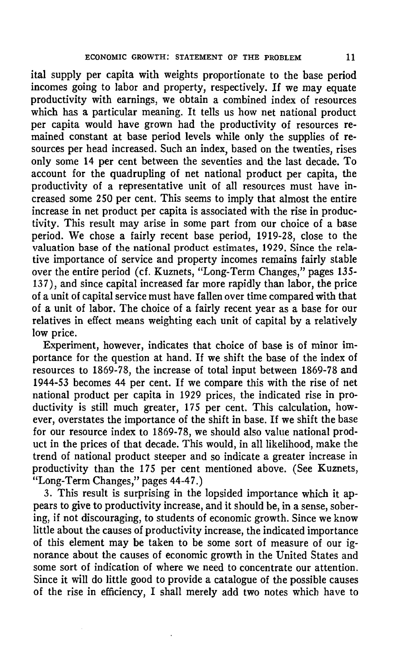ital supply per capita with weights proportionate to the base period incomes going to labor and property, respectively. If we may equate productivity with earnings, we obtain a combined index of resources which has a particular meaning. It tells us how net national product per capita would have grown had the productivity of resources remained constant at base period levels while only the supplies of resources per head increased. Such an index, based on the twenties, rises only some 14 per cent between the seventies and the last decade. To account for the quadrupling of net national product per capita, the productivity of a representative unit of all resources must have increased some 250 per cent. This seems to imply that almost the entire increase in net product per capita is associated with the rise in productivity. This result may arise in some part from our choice of a base period. We chose a fairly recent base period, 1919-28, close to the valuation base of the national product estimates, 1929. Since the relative importance of service and property incomes remains fairly stable over the entire period (cf. Kuznets, "Long-Term Changes," pages 135- 137), and since capital increased far more rapidly than labor, the price of a unit of capital service must have fallen over time compared with that of a unit of labor. The choice of a fairly recent year as a base for our relatives in effect means weighting each unit of capital by a relatively low price.

Experiment, however, indicates that choice of base is of minor importance for the question at hand. If we shift the base of the index of resources to 1869-78, the increase of total input between 1869-78 and 1944-53 becomes 44 per cent. If we compare this with the rise of net national product per capita in 1929 prices, the indicated rise in productivity is still much greater, 175 per cent. This calculation, however, overstates the importance of the shift in base. If we shift the base for our resource index to 1869-78, we should also value national product in the prices of that decade. This would, in all likelihood, make the trend of national product steeper and so indicate a greater increase in productivity than the 175 per cent mentioned above. (See Kuznets, "Long-Term Changes," pages 44-47.)

3. This result is surprising in the lopsided importance which it appears to give to productivity increase, and it should be, in a sense, sobering, if not discouraging, to students of economic growth. Since we know little about the causes of productivity increase, the indicated importance of this element may be taken to be some sort of measure of our ignorance about the causes of economic growth in the United States and some sort of indication of where we need to concentrate our attention. Since it will do little good to provide a catalogue of the possible causes of the rise in efficiency, I shall merely add two notes which have to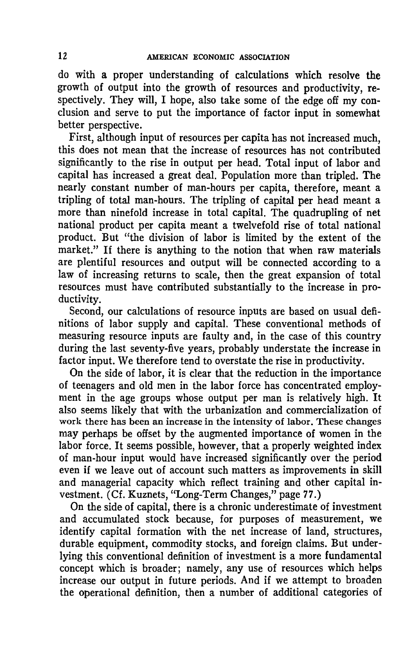do with a proper understanding of calculations which resolve the growth of output into the growth of resources and productivity, respectively. They will, I hope, also take some of the edge off my conclusion and serve to put the importance of factor input in somewhat better perspective.

First, although input of resources per capita has not increased much, this does not mean that the increase of resources has not contributed significantly to the rise in output per head. Total input of labor and capital has increased a great deal. Population more than tripled. The nearly constant number of man-hours per capita, therefore, meant a tripling of total man-hours. The tripling of capital per head meant a more than ninefold increase in total capital. The quadrupling of net national product per capita meant a twelvefold rise of total national product. But "the division of labor is limited by the extent of the market." If there is anything to the notion that when raw materials are plentiful resources and output will be connected according to a law of increasing returns to scale, then the great expansion of total resources must have contributed substantially to the increase in productivity.

Second, our calculations of resource inputs are based on usual definitions of labor supply and capital. These conventional methods of measuring resource inputs are faulty and, in the case of this country during the last seventy-five years, probably understate the increase in factor input. We therefore tend to overstate the rise in productivity.

On the side of labor, it is clear that the reduction in the importance of teenagers and old men in the labor force has concentrated employment in the age groups whose output per man is relatively high. It also seems likely that with the urbanization and commercialization of work there has been an increase in the intensity of labor. These changes may perhaps be offset by the augmented importance of women in the labor force. It seems possible, however, that a properly weighted index of man-hour input would have increased significantly over the period even if we leave out of account such matters as improvements in skill and managerial capacity which reflect training and other capital investment. (Cf. Kuznets, "Long-Term Changes," page 77.)

On the side of capital, there is a chronic underestimate of investment and accumulated stock because, for purposes of measurement, we identify capital formation with the net increase of land, structures, durable equipment, commodity stocks, and foreign claims. But underlying this conventional definition of investment is a more fundamental concept which is broader; namely, any use of resources which helps increase our output in future periods. And if we attempt to broaden the operational definition, then a number of additional categories of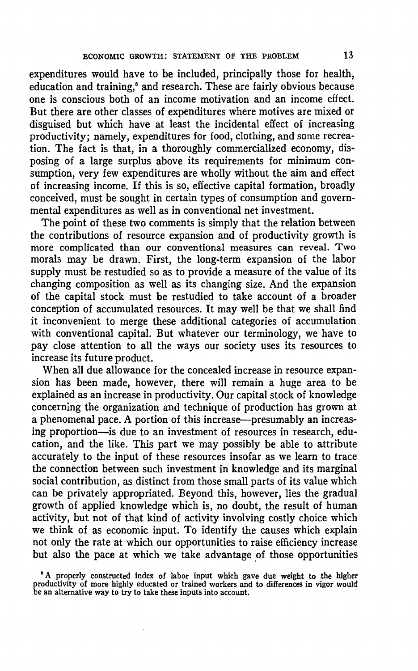expenditures would have to be included, principally those for health, education and training,<sup>5</sup> and research. These are fairly obvious because one is conscious both of an income motivation and an income effect. But there are other classes of expenditures where motives are mixed or disguised but which have at least the incidental effect of increasing productivity; namely, expenditures for food, clothing, and some recreation. The fact is that, in a thoroughly commercialized economy, disposing of a large surplus above its requirements for minimum consumption, very few expenditures are wholly without the aim and effect of increasing income. If this is so, effective capital formation, broadly conceived, must be sought in certain types of consumption and governmental expenditures as well as in conventional net investment.

The point of these two comments is simply that the relation between the contributions of resource expansion and of productivity growth is more complicated than our conventional measures can reveal. Two morals may be drawn. First, the long-term expansion of the labor supply must be restudied so as to provide a measure of the value of its changing composition as well as its changing size. And the expansion of the capital stock must be restudied to take account of a broader conception of accumulated resources. It may well be that we shall find it inconvenient to merge these additional categories of accumulation with conventional capital. But whatever our terminology, we have to pay close attention to all the ways our society uses its resources to increase its future product.

When all due allowance for the concealed increase in resource expansion has been made, however, there will remain a huge area to be explained as an increase in productivity. Our capital stock of knowledge concerning the organization and technique of production has grown at a phenomenal pace. A portion of this increase—presumably an increasing proportion—is due to an investment of resources in research, education, and the like. This part we may possibly be able to attribute accurately to the input of these resources insofar as we learn to trace the connection between such investment in knowledge and its marginal social contribution, as distinct from those small parts of its value which can be privately appropriated. Beyond this, however, lies the gradual growth of applied knowledge which is, no doubt, the result of human activity, but not of that kind of activity involving costly choice which we think of as economic input. To identify the causes which explain not only the rate at which our opportunities to raise efficiency increase but also the pace at which we take advantage of those opportunities

<sup>5</sup>A properly constructed index of labor input which gave due weight to the higher productivity of more highly educated or trained workers and to differences in vigor would be an alternative way to try to take these inputs into account.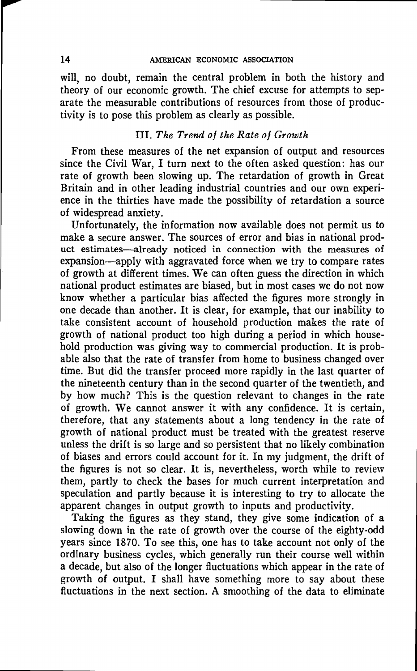will, no doubt, remain the central problem in both the history and theory of our economic growth. The chief excuse for attempts to separate the measurable contributions of resources from those of productivity is to pose this problem as clearly as possible.

#### III. The Trend of the Rate of Growth

From these measures of the net expansion of output and resources since the Civil War, I turn next to the often asked question: has our rate of growth been slowing up. The retardation of growth in Great Britain and in other leading industrial countries and our own experience in the thirties have made the possibility of retardation a source of widespread anxiety.

Unfortunately, the information now available does not permit us to make a secure answer. The sources of error and bias in national product estimates—already noticed in connection with the measures of expansion—apply with aggravated force when we try to compare rates of growth at different times. We can often guess the direction in which national product estimates are biased, but in most cases we do not now know whether a particular bias affected the figures more strongly in one decade than another. It is clear, for example, that our inability to take consistent account of household production makes the rate of growth of national product too high during a period in which household production was giving way to commercial production. It is probable also that the rate of transfer from home to business changed over time. But did the transfer proceed more rapidly in the last quarter of the nineteenth century than in the second quarter of the twentieth, and by how much? This is the question relevant to changes in the rate of growth. We cannot answer it with any confidence. It is certain, therefore, that any statements about a long tendency in the rate of growth of national product must be treated with the greatest reserve unless the drift is so large and so persistent that no likely combination of biases and errors could account for it. In my judgment, the drift of the figures is not so clear. It is, nevertheless, worth while to review them, partly to check the bases for much current interpretation and speculation and partly because it is interesting to try to allocate the apparent changes in output growth to inputs and productivity.

Taking the figures as they stand, they give some indication of a slowing down in the rate of growth over the course of the eighty-odd years since 1870. To see this, one has to take account not only of the ordinary business cycles, which generally run their course well within a decade, but also of the longer fluctuations which appear in the rate of growth of output. I shall have something more to say about these fluctuations in the next section. A smoothing of the data to eliminate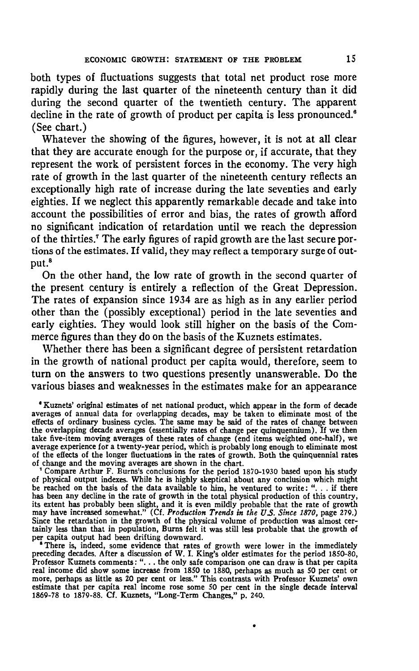both types of fluctuations suggests that total net product rose more rapidly during the last quarter of the nineteenth century than it did during the second quarter of the twentieth century. The apparent decline in the rate of growth of product per capita is less pronounced.<sup>6</sup> (See chart.)

Whatever the showing of the figures, however, it is not at all clear that they are accurate enough for the purpose or, if accurate, that they represent the work of persistent forces in the economy. The very high rate of growth in the last quarter of the nineteenth century reflects an exceptionally high rate of increase during the late seventies and early eighties. If we neglect this apparently remarkable decade and take into account the possibilities of error and bias, the rates of growth afford no significant indication of retardation until we reach the depression of the thirties.<sup>7</sup> The early figures of rapid growth are the last secure portions of the estimates. If valid, they may reflect a temporary surge of output.8

On the other hand, the low rate of growth in the second quarter of the present century is entirely a reflection of the Great Depression. The rates of expansion since 1934 are as high as in any earlier period other than the (possibly exceptional) period in the late seventies and early eighties. They would look still higher on the basis of the Commerce figures than they do on the basis of the Kuznets estimates.

Whether there has been a significant degree of persistent retardation in the growth of national product per capita would, therefore, seem to turn on the answers to two questions presently unanswerable. Do the various biases and weaknesses in the estimates make for an appearance

Compare Arthur F. Burns's conclusions for the period 1870-1930 based upon his study of physical output indexes. While he is highly skeptical about any conclusion which might be reached on the basis of the data available to him, he ventured to write: ". . . if there has been any decline in the rate of growth in the total physical production of this country, its extent has probably been slight, and it is even mildly probable that the rate of growth may have increased somewhat." (Cf. *Production Trends in the U.S. Since 1870*, page 279.) Since the retardation in the growth of the physical volume of production was almost cer-<br>tainly less than that in population, Burns felt it was still less probable that the growth of tainly less than that in population, Burns felt it was still less probable that the growth of<br>per capita output had been drifting downward.<br>
<sup>8</sup> There is, indeed, some evidence that rates of growth were lower in the immedi

Professor Kuznets comments:". . . the only safe comparison one can draw is that per capita real income did show some increase from 1850 to 1880, perhaps as much as 50 per cent or more, perhaps as little as 20 per cent or less." This contrasts with Professor Kuznets' own estimate that per capita real income rose some 50 per cent in the single decade interval 1869-78 to 1879-88. Cf. Kuznets, "Long-Term Changes," p. 240.

.

<sup>&#</sup>x27;Kuznets' original estimates of net national product, which appear in the form of decade averages of annual data for overlapping decades, may be taken to eliminate most of the effects of ordinary business cycles. The same may be said of the rates of change between the overlapping decade averages (essentially rates of change per quinquennium). If we then take five-item moving averages of these rates of change (end items weighted one-half), we average experience for a twenty-year period, which is probably long enough to eliminate most of the effects of the longer fluctuations in the rates of growth. Both the quinquennial rates of change and the moving averages are shown in the chart.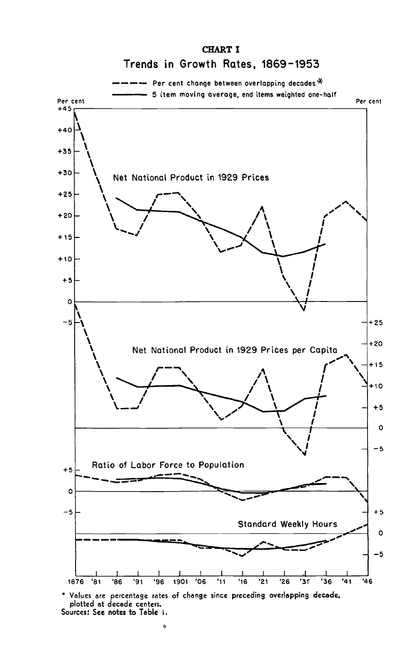

\* Values are percentage rates of change since preceding overlapping decade, plotted at decade centers. Sources: See notes to Table I.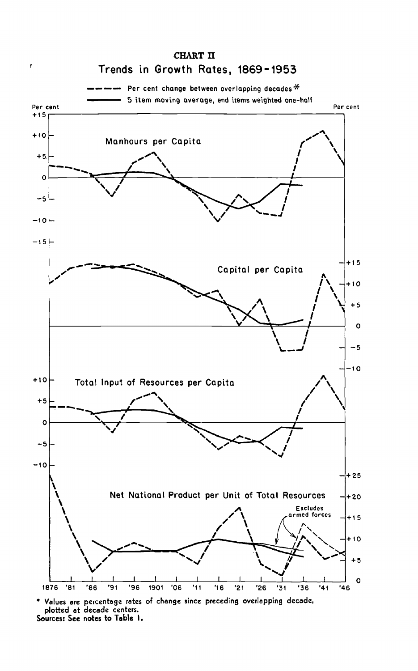

# CHART II Trends in Growth Rates, 1869—1953

plotted at decade centers. Sources: See notes to Table 1.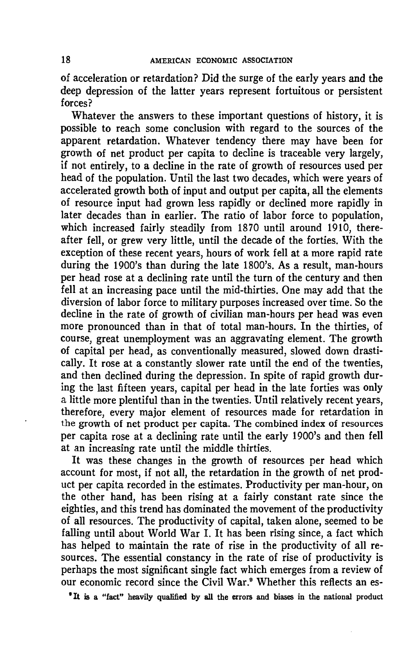of acceleration or retardation? Did the surge of the early years and the deep depression of the latter years represent fortuitous or persistent forces?

Whatever the answers to these important questions of history, it is possible to reach some conclusion with regard to the sources of the apparent retardation. Whatever tendency there may have been for growth of net product per capita to decline is traceable very largely, if not entirely, to a decline in the rate of growth of resources used per head of the population. Until the last two decades, which were years of accelerated growth both of input and output per capita, all the elements of resource input had grown less rapidly or declined more rapidly in later decades than in earlier. The ratio of labor force to population, which increased fairly steadily from 1870 until around 1910, thereafter fell, or grew very little, until the decade of the forties. With the exception of these recent years, hours of work fell at a more rapid rate during the 1900's than during the late 1800's. As a result, man-hours per head rose at a declining rate until the turn of the century and then fell at an increasing pace until the mid-thirties. One may add that the diversion of labor force to military purposes increased over time. So the decline in the rate of growth of civilian man-hours per head was even more pronounced than in that of total man-hours. In the thirties, of course, great unemployment was an aggravating element. The growth of capital per head, as conventionally measured, slowed down drastically. It rose at a constantly slower rate until the end of the twenties, and then declined during the depression. In spite of rapid growth during the last fifteen years, capital per head in the late forties was only a little more plentiful than in the twenties. Until relatively recent years, therefore, every major element of resources made for retardation in the growth of net product per capita. The combined index of resources per capita rose at a declining rate until the early 1900's and then fell at an increasing rate until the middle thirties.

It was these changes in the growth of resources per head which account for most, if not all, the retardation in the growth of net product per capita recorded in the estimates. Productivity per man-hour, on the other hand, has been rising at a fairly constant rate since the eighties, and this trend has dominated the movement of the productivity of all resources. The productivity of capital, taken alone, seemed to be falling until about World War I. It has been rising since, a fact which has helped to maintain the rate of rise in the productivity of all resources. The essential constancy in the rate of rise of productivity is perhaps the most significant single fact which emerges from a review of our economic record since the Civil War.<sup>9</sup> Whether this reflects an es-

'It is a "fact" heavily qualified by all the errors and biases in the national product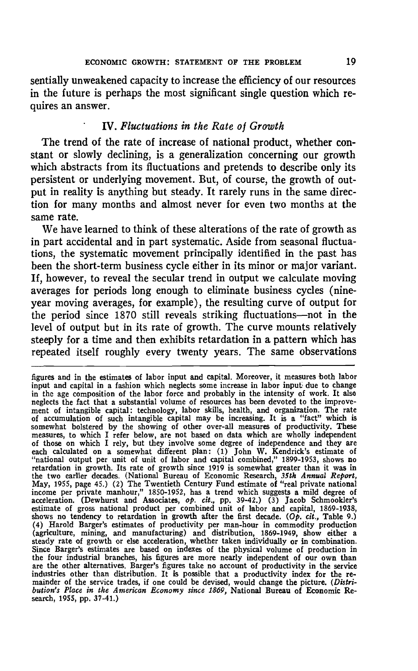sentially unweakened capacity to increase the efficiency of our resources in the future is perhaps the most significant single question which requires an answer.

## IV. Fluctuations in the Rate of Growth

The trend of the rate of increase of national product, whether constant or slowly declining, is a generalization concerning our growth which abstracts from its fluctuations and pretends to describe only its persistent or underlying movement. But, of course, the growth of output in reality is anything but steady. It rarely runs in the same direction for many months and almost never for even two months at the same rate.

We have learned to think of these alterations of the rate of growth as in part accidental and in part systematic. Aside from seasonal fluctuations, the systematic movement principally identified in the past has been the short-term business cycle either in its minor or major variant. If, however, to reveal the secular trend in output we calculate moving averages for periods long enough to eliminate business cycles (nineyear moving averages, for example), the resulting curve of output for the period since 1870 still reveals striking fluctuations—not in the level of output but in its rate of growth. The curve mounts relatively steeply for a time and then exhibits retardation in a pattern which has repeated itself roughly every twenty years. The same observations

figures and in the estimates of labor input and capital. Moreover, it measures both labor input and capital in a fashion which neglects some increase in labor in the age composition of the labor force and probably in the intensity of work. It also neglects the fact that a substantial volume of resources has been devoted to the improve-<br>ment of intangible capital: technology, labor skills, health, and organization. The rate<br>of accumulation of such intangible capital somewhat bolstered by the showing of other over-all measures of productivity. These measures, to which I refer below, are not based on data which are wholly independent of those on which I rely, but they involve some degre retardation in growth. Its rate of growth since 1919 is somewhat greater than it was in<br>the two earlier decades. (National Bureau of Economic Research, 35th Annual Report, May, 1955, page 45.) (2) The Twentieth Century Fund estimate of "real private national income per private manhour," 1850-1952, has a trend which suggests a mild degree of acceleration. (Dewhurst and Associates, op. cit., pp. 39-42.) (3) Jacob Schmookler's estimate of gross national product per combined unit of labor and capital, 1869-1938, shows no tendency to retardation in growth after the first decade. (Op. cit., Table 9.)<br>(4) Harold Barger's estimates of productivity p (agriculture, mining, and manufacturing) and distribution, 1869-1949, show either a steady rate of growth or else acceleration, whether taken individually or in combination. Since Barger's estimates are based on indexes of the physical volume of production in the four industrial branches, his figures are more nearly independent of our own than the four industrial branches, his figures are more nearly independent of our own than are the other alternatives. Barger's figures take no account of productivity in the service industries other than distribution. It is po mainder of the service trades, if one could be devised, would change the picture. (Distri-<br>bution's Place in the American Economy since 1869, National Bureau of Economic Research, 1955, pp. 37-41.)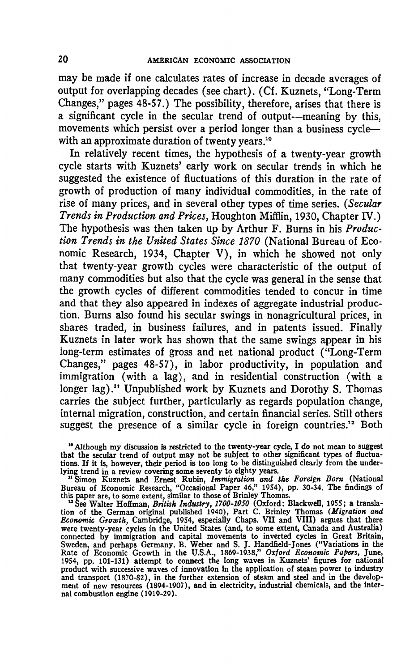may be made if one calculates rates of increase in decade averages of output for overlapping decades (see chart). (Cf. Kuznets, "Long-Term Changes," pages 48-57.) The possibility, therefore, arises that there is a significant cycle in the secular trend of output—meaning by this, movements which persist over a period longer than a business cycle with an approximate duration of twenty years.<sup>10</sup>

In relatively recent times, the hypothesis of a twenty-year growth cycle starts with Kuznets' early work on secular trends in which he suggested the existence of fluctuations of this duration in the rate of growth of production of many individual commodities, in the rate of rise of many prices, and in several other types of time series. (Secular Trends in Production and Prices, Houghton Mifflin, 1930, Chapter IV.) The hypothesis was then taken up by Arthur F. Burns in his *Produc*tion Trends in the United States Since 1870 (National Bureau of Economic Research, 1934, Chapter V), in which he showed not only that twenty-year growth cycles were characteristic of the output of many commodities but also that the cycle was general in the sense that the growth cycles of different commodities tended to concur in time and that they also appeared in indexes of aggregate industrial production. Burns also found his secular swings in nonagricultural prices, in shares traded, in business failures, and in patents issued. Finally Kuznets in later work has shown that the same swings appear in his long-term estimates of gross and net national product ("Long-Term Changes," pages 48-57), in labor productivity, in population and immigration (with a lag), and in residential construction (with a longer lag).<sup>11</sup> Unpublished work by Kuznets and Dorothy S. Thomas carries the subject further, particularly as regards population change, internal migration, construction, and certain financial series. Still others suggest the presence of a similar cycle in foreign countries.<sup>12</sup> Both

<sup>&</sup>lt;sup>10</sup> Although my discussion is restricted to the twenty-year cycle, I do not mean to suggest that the secular trend of output may not be subject to other significant types of fluctuations. If it is, however, their period is too long to be distinguished clearly from the under-lying trend in a review covering some seventy to eighty years. lying trend in a review covering some seventy to eighty years.<br><sup>11</sup> Simon Kuznets and Ernest Rubin, Immigration and the Foreign Born (National

Bureau of Economic Research, "Occasional Paper 46," 1954), pp. 30-34. The findings of this paper are, to some extent, similar to those of Brinley Thomas.

<sup>&</sup>lt;sup>12</sup> See Walter Hoffman, *British Industry, 1700-1950* (Oxford: Blackwell, 1955; a translation of the German original published 1940), Part C. Brinley Thomas (*Migration and Economic Growth*, Cambridge, 1954, especially Ch were twenty-year cycles in the United States (and, to some extent, Canada and Australia) connected by immigration and capital movements to inverted cycles in Great Britain, Sweden, and perhaps Germany. B. Weber and S. J. Handfield-Jones ("Variations in the Rate of Economic Growth in the U.S.A., 1869-1938," Oxford Economic Papers, June, 1954, pp. 101-131) attempt to connect the long waves in K product with successive waves of innovation in the application of steam power to industry and transport (1870-82), in the further extension of steam and steel and in the development of new resources (1894-1907), and in electricity, industrial chemicals, and the internal combustion engine (1019-29).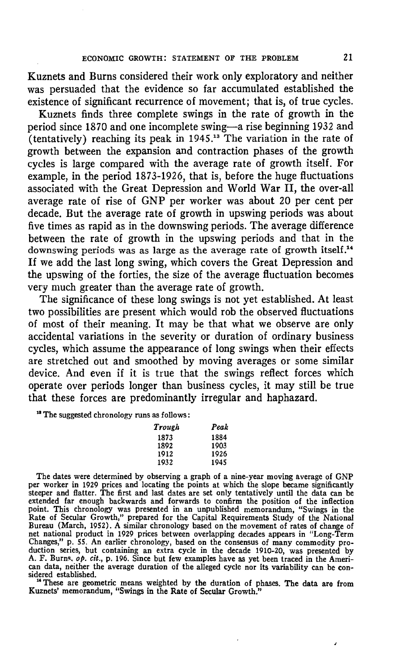Kuznets and Burns considered their work only exploratory and neither was persuaded that the evidence so far accumulated established the existence of significant recurrence of movement; that is, of true cycles.

Kuznets finds three complete swings in the rate of growth in the period since 1870 and one incomplete swing—a rise beginning 1932 and (tentatively) reaching its peak in  $1945$ <sup>13</sup> The variation in the rate of growth between the expansion and contraction phases of the growth cycles is large compared with the average rate of growth itself. For example, in the period 1873-1926, that is, before the huge fluctuations associated with the Great Depression and World War II, the over-all average rate of rise of GNP per worker was about 20 per cent per decade. But the average rate of growth in upswing periods was about five times as rapid as in the downswing periods. The average difference between the rate of growth in the upswing periods and that in the downswing periods was as large as the average rate of growth itself.14 If we add the last long swing, which covers the Great Depression and the upswing of the forties, the size of the average fluctuation becomes very much greater than the average rate of growth.

The significance of these long swings is not yet established. At least two possibilities are present which would rob the observed fluctuations of most of their meaning. It may be that what we observe are only accidental variations in the severity or duration of ordinary business cycles, which assume the appearance of long swings when their effects are stretched out and smoothed by moving averages or some similar device. And even if it is true that the swings reflect forces which operate over periods longer than business cycles, it may still be true that these forces are predominantly irregular and haphazard.

<sup>18</sup> The suggested chronology runs as follows:

| Trough | Peak |  |
|--------|------|--|
| 1873   | 1884 |  |
| 1892   | 1903 |  |
| 1912   | 1926 |  |
| 1932   | 1945 |  |

The dates were determined by observing a graph of a nine-year moving average of GNP per worker in 1929 prices and locating the points at which the slope became significantly<br>steeper and flatter. The first and last dates are set only tentatively until the data can be<br>extended far enough backwards and forwa point. This chronology was presented in an unpublished memorandum, "Swings in the Rational Requirements Study of the National Bureau (March, 1952). A similar chronology based on the movement of rates of change of net net net net net net<br>net national product in 1929 prices between overlapping decades appears in "Long-Term Changes," p. 55. An earlier chronology, based on the consensus of many commodity production series, but containing an extra cycle in the decade 1910-20, was presented by A. F. Burns,  $op. cit.$ , p. 196. Since but few examples can data, neither the average duration of the alleged cycle nor its variability can be con-<br>sidered established.

14These are geometric means weighted by the duration of phases. The data are from Kuznets' memorandum, "Swings in the Rate of Secular Growth."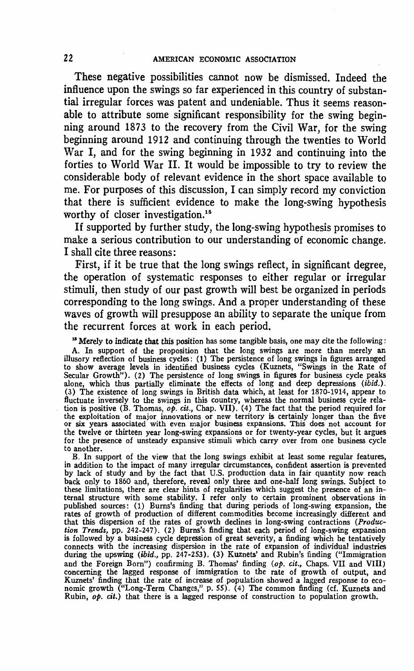These negative possibilities cannot now be dismissed. Indeed the influence upon the swings so far experienced in this country of substantial irregular forces was patent and undeniable. Thus it seems reasonable to attribute some significant responsibility for the swing beginhing around 1873 to the recovery from the Civil War, for the swing beginning around 1912 and continuing through the twenties to World War I, and for the swing beginning in 1932 and continuing into the forties to World War II. It would be impossible to try to review the considerable body of relevant evidence in the short space available to me. For purposes of this discussion, I can simply record my conviction that there is sufficient evidence to make the long-swing hypothesis worthy of closer investigation.<sup>15</sup>

If supported by further study, the long-swing hypothesis promises to make a serious contribution to our understanding of economic change. I shall cite three reasons:

First, if it be true that the long swings reflect, in significant degree, the operation of systematic responses to either regular or irregular stimuli, then study of our past growth will best be organized in periods corresponding to the long swings. And a proper understanding of these waves of growth will presuppose an ability to separate the unique from the recurrent forces at work in each period.

<sup>15</sup> Merely to indicate that this position has some tangible basis, one may cite the following: A. In support of the proposition that the long swings are more than merely an illusory reflection of business cydes: (1) The persistence of long swings in figures arranged to show average levels in identified business cycles (Kuznets, "Swings in the Rate of Secular Growth"). (2) The persistence of long swings in figures for business cycle peaks alone, which thus partially eliminate the effects of long and deep depressions (*ibid.*). (3) The existence of long swings in British data which, at least for '1870-1914, appear to fluctuate inversely to the swings in this country, whereas the normal business cycle relation is positive (B. Thomas,  $o\rho$ , cit., Chap. VII). (4) The fact that the period required for the exploitation of major innovations or new territory is certainly longer than the five or six years associated with even ma the twelve or thirteen year long-swing expansions or for twenty-year cycles, but it argues for the presence of unsteady expansive stimuli which carry over from one business cycle to another.

B. In support of the view that the long swings exhibit at least some regular features, in addition to the impact of many irregular circumstances, confident assertion is prevented by lack of study and by the fact that U.S. production data in fair quantity now reach back only to 1860 and, therefore, reveal only three and one-half long swings. Subject to these limitations, there are clear hints of regularities which suggest the presence of an internal structure with some stability. I r published sources: (1) Burns's finding that during periods of long-swing expansion, the rates of growth of production of different commodities become increasingly different and<br>that this dispersion of the rates of growth declines in long-swing contractions (*Produc*tion Trends, pp. 242-247). (2) Burns's finding that each period of long-swing expansion<br>is followed by a business cycle depression of great severity, a finding which he tentatively<br>connects with the increasing dispersion i and the Foreign Born") confirming B. Thomas' finding (op. cit., Chaps. VII and VIII)<br>concerning the lagged response of immigration to the rate of growth of output, and<br>Kuznets' finding that the rate of increase of populati nomic growth ("Long-Term Changes," p. 55). (4) The common finding (cf. Kuznets and Rubin, *op. cit.*) that there is a lagged response of construction to population growth.